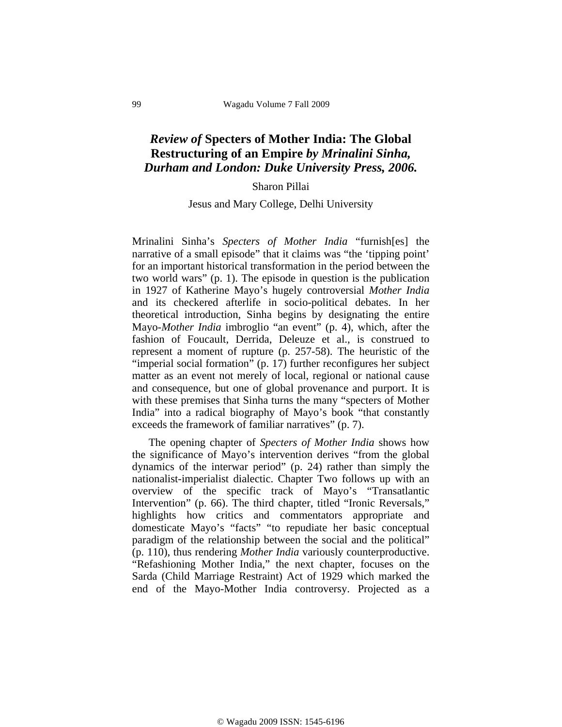## *Review of* **Specters of Mother India: The Global Restructuring of an Empire** *by Mrinalini Sinha, Durham and London: Duke University Press, 2006.*

## Sharon Pillai

## Jesus and Mary College, Delhi University

Mrinalini Sinha's *Specters of Mother India* "furnish[es] the narrative of a small episode" that it claims was "the 'tipping point' for an important historical transformation in the period between the two world wars" (p. 1). The episode in question is the publication in 1927 of Katherine Mayo's hugely controversial *Mother India* and its checkered afterlife in socio-political debates. In her theoretical introduction, Sinha begins by designating the entire Mayo-*Mother India* imbroglio "an event" (p. 4), which, after the fashion of Foucault, Derrida, Deleuze et al., is construed to represent a moment of rupture (p. 257-58). The heuristic of the "imperial social formation" (p. 17) further reconfigures her subject matter as an event not merely of local, regional or national cause and consequence, but one of global provenance and purport. It is with these premises that Sinha turns the many "specters of Mother India" into a radical biography of Mayo's book "that constantly exceeds the framework of familiar narratives" (p. 7).

 The opening chapter of *Specters of Mother India* shows how the significance of Mayo's intervention derives "from the global dynamics of the interwar period" (p. 24) rather than simply the nationalist-imperialist dialectic. Chapter Two follows up with an overview of the specific track of Mayo's "Transatlantic Intervention" (p. 66). The third chapter, titled "Ironic Reversals," highlights how critics and commentators appropriate and domesticate Mayo's "facts" "to repudiate her basic conceptual paradigm of the relationship between the social and the political" (p. 110), thus rendering *Mother India* variously counterproductive. "Refashioning Mother India," the next chapter, focuses on the Sarda (Child Marriage Restraint) Act of 1929 which marked the end of the Mayo-Mother India controversy. Projected as a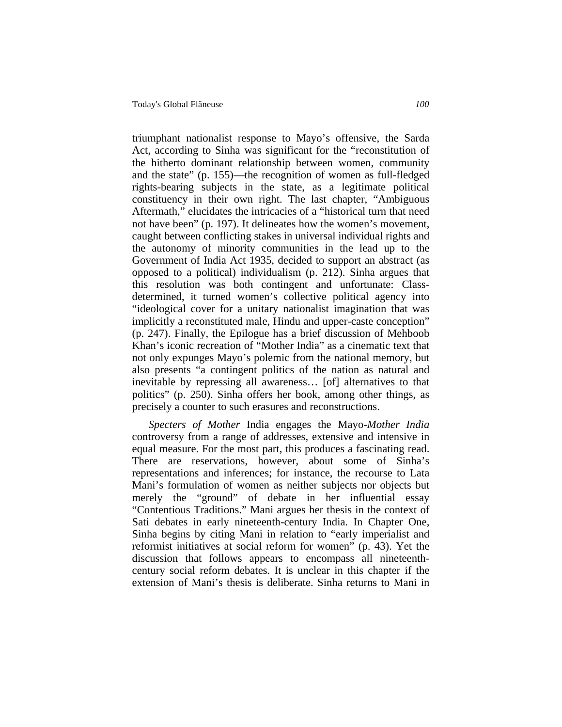triumphant nationalist response to Mayo's offensive, the Sarda Act, according to Sinha was significant for the "reconstitution of the hitherto dominant relationship between women, community and the state" (p. 155)—the recognition of women as full-fledged rights-bearing subjects in the state, as a legitimate political constituency in their own right. The last chapter, "Ambiguous Aftermath," elucidates the intricacies of a "historical turn that need not have been" (p. 197). It delineates how the women's movement, caught between conflicting stakes in universal individual rights and the autonomy of minority communities in the lead up to the Government of India Act 1935, decided to support an abstract (as opposed to a political) individualism (p. 212). Sinha argues that this resolution was both contingent and unfortunate: Classdetermined, it turned women's collective political agency into "ideological cover for a unitary nationalist imagination that was implicitly a reconstituted male, Hindu and upper-caste conception" (p. 247). Finally, the Epilogue has a brief discussion of Mehboob Khan's iconic recreation of "Mother India" as a cinematic text that not only expunges Mayo's polemic from the national memory, but also presents "a contingent politics of the nation as natural and inevitable by repressing all awareness… [of] alternatives to that politics" (p. 250). Sinha offers her book, among other things, as precisely a counter to such erasures and reconstructions.

*Specters of Mother* India engages the Mayo-*Mother India* controversy from a range of addresses, extensive and intensive in equal measure. For the most part, this produces a fascinating read. There are reservations, however, about some of Sinha's representations and inferences; for instance, the recourse to Lata Mani's formulation of women as neither subjects nor objects but merely the "ground" of debate in her influential essay "Contentious Traditions." Mani argues her thesis in the context of Sati debates in early nineteenth-century India. In Chapter One, Sinha begins by citing Mani in relation to "early imperialist and reformist initiatives at social reform for women" (p. 43). Yet the discussion that follows appears to encompass all nineteenthcentury social reform debates. It is unclear in this chapter if the extension of Mani's thesis is deliberate. Sinha returns to Mani in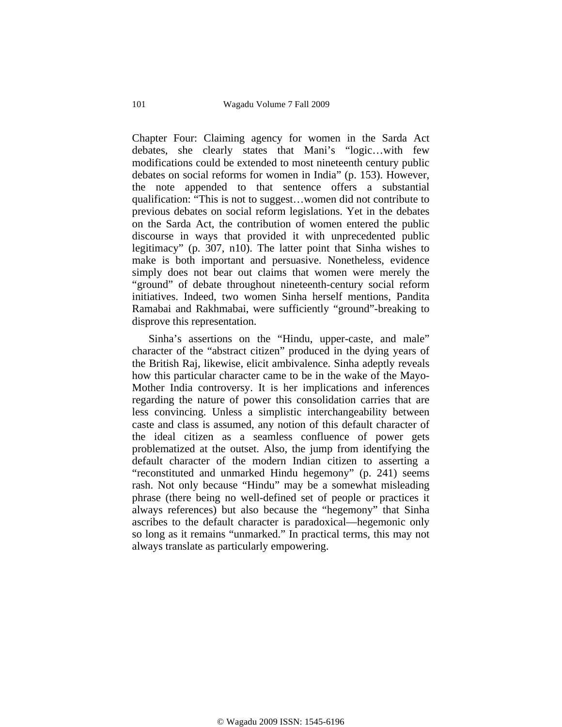Chapter Four: Claiming agency for women in the Sarda Act debates, she clearly states that Mani's "logic…with few modifications could be extended to most nineteenth century public debates on social reforms for women in India" (p. 153). However, the note appended to that sentence offers a substantial qualification: "This is not to suggest…women did not contribute to previous debates on social reform legislations. Yet in the debates on the Sarda Act, the contribution of women entered the public discourse in ways that provided it with unprecedented public legitimacy" (p. 307, n10). The latter point that Sinha wishes to make is both important and persuasive. Nonetheless, evidence simply does not bear out claims that women were merely the "ground" of debate throughout nineteenth-century social reform initiatives. Indeed, two women Sinha herself mentions, Pandita Ramabai and Rakhmabai, were sufficiently "ground"-breaking to disprove this representation.

 Sinha's assertions on the "Hindu, upper-caste, and male" character of the "abstract citizen" produced in the dying years of the British Raj, likewise, elicit ambivalence. Sinha adeptly reveals how this particular character came to be in the wake of the Mayo-Mother India controversy. It is her implications and inferences regarding the nature of power this consolidation carries that are less convincing. Unless a simplistic interchangeability between caste and class is assumed, any notion of this default character of the ideal citizen as a seamless confluence of power gets problematized at the outset. Also, the jump from identifying the default character of the modern Indian citizen to asserting a "reconstituted and unmarked Hindu hegemony" (p. 241) seems rash. Not only because "Hindu" may be a somewhat misleading phrase (there being no well-defined set of people or practices it always references) but also because the "hegemony" that Sinha ascribes to the default character is paradoxical—hegemonic only so long as it remains "unmarked." In practical terms, this may not always translate as particularly empowering.

© Wagadu 2009 ISSN: 1545-6196